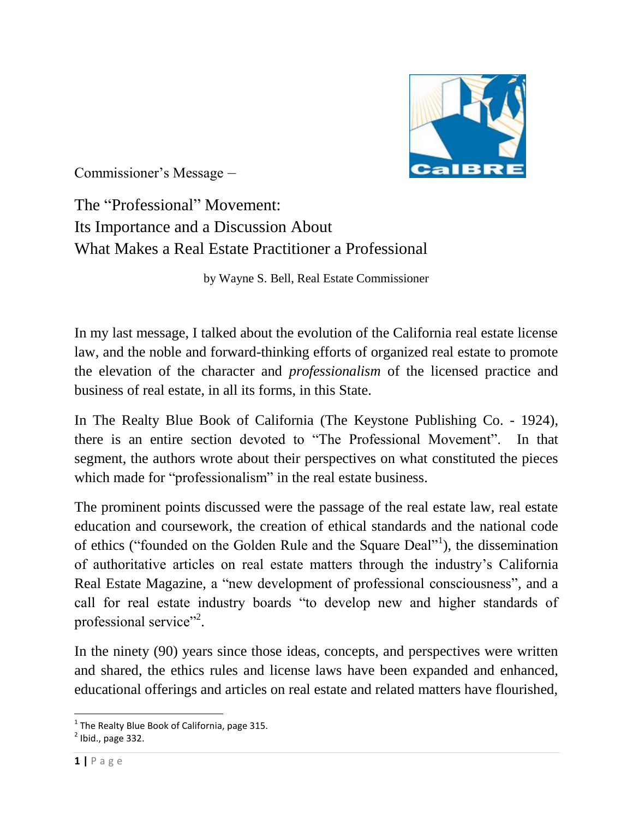

Commissioner's Message –

The "Professional" Movement: Its Importance and a Discussion About What Makes a Real Estate Practitioner a Professional

by Wayne S. Bell, Real Estate Commissioner

In my last message, I talked about the evolution of the California real estate license law, and the noble and forward-thinking efforts of organized real estate to promote the elevation of the character and *professionalism* of the licensed practice and business of real estate, in all its forms, in this State.

In The Realty Blue Book of California (The Keystone Publishing Co. - 1924), there is an entire section devoted to "The Professional Movement". In that segment, the authors wrote about their perspectives on what constituted the pieces which made for "professionalism" in the real estate business.

The prominent points discussed were the passage of the real estate law, real estate education and coursework, the creation of ethical standards and the national code of ethics ("founded on the Golden Rule and the Square Deal"<sup>1</sup>), the dissemination of authoritative articles on real estate matters through the industry's California Real Estate Magazine, a "new development of professional consciousness", and a call for real estate industry boards "to develop new and higher standards of professional service"<sup>2</sup>.

In the ninety (90) years since those ideas, concepts, and perspectives were written and shared, the ethics rules and license laws have been expanded and enhanced, educational offerings and articles on real estate and related matters have flourished,

l  $^{1}$  The Realty Blue Book of California, page 315.

 $<sup>2</sup>$  Ibid., page 332.</sup>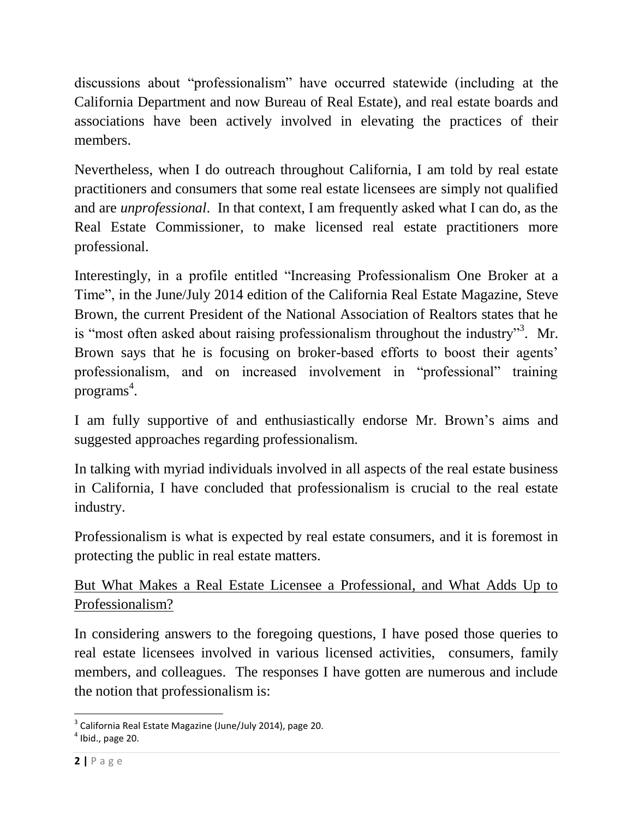discussions about "professionalism" have occurred statewide (including at the California Department and now Bureau of Real Estate), and real estate boards and associations have been actively involved in elevating the practices of their members.

Nevertheless, when I do outreach throughout California, I am told by real estate practitioners and consumers that some real estate licensees are simply not qualified and are *unprofessional*. In that context, I am frequently asked what I can do, as the Real Estate Commissioner, to make licensed real estate practitioners more professional.

Interestingly, in a profile entitled "Increasing Professionalism One Broker at a Time", in the June/July 2014 edition of the California Real Estate Magazine, Steve Brown, the current President of the National Association of Realtors states that he is "most often asked about raising professionalism throughout the industry"<sup>3</sup>. Mr. Brown says that he is focusing on broker-based efforts to boost their agents' professionalism, and on increased involvement in "professional" training programs 4 .

I am fully supportive of and enthusiastically endorse Mr. Brown's aims and suggested approaches regarding professionalism.

In talking with myriad individuals involved in all aspects of the real estate business in California, I have concluded that professionalism is crucial to the real estate industry.

Professionalism is what is expected by real estate consumers, and it is foremost in protecting the public in real estate matters.

But What Makes a Real Estate Licensee a Professional, and What Adds Up to Professionalism?

In considering answers to the foregoing questions, I have posed those queries to real estate licensees involved in various licensed activities, consumers, family members, and colleagues. The responses I have gotten are numerous and include the notion that professionalism is:

l <sup>3</sup> California Real Estate Magazine (June/July 2014), page 20.

 $<sup>4</sup>$  Ibid., page 20.</sup>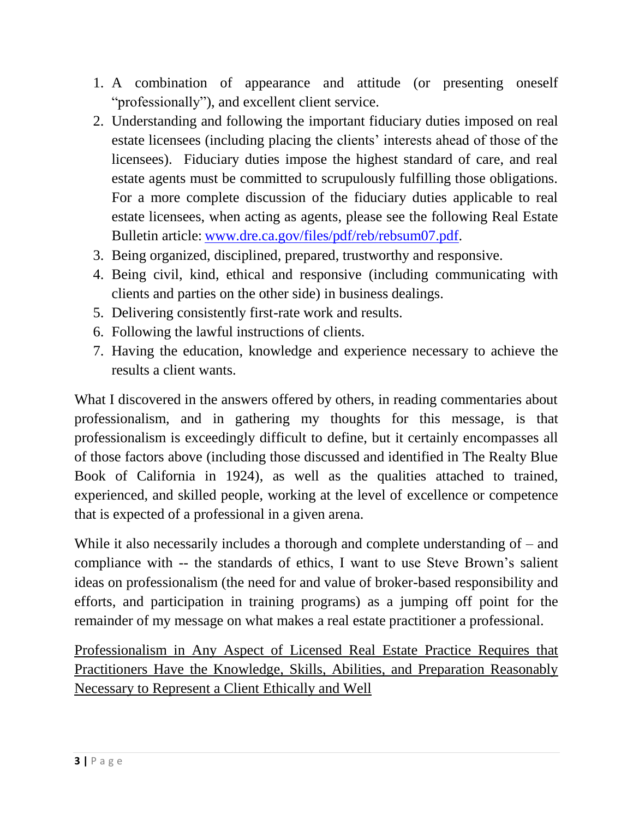- 1. A combination of appearance and attitude (or presenting oneself "professionally"), and excellent client service.
- 2. Understanding and following the important fiduciary duties imposed on real estate licensees (including placing the clients' interests ahead of those of the licensees). Fiduciary duties impose the highest standard of care, and real estate agents must be committed to scrupulously fulfilling those obligations. For a more complete discussion of the fiduciary duties applicable to real estate licensees, when acting as agents, please see the following Real Estate Bulletin article: [www.dre.ca.gov/files/pdf/reb/rebsum07.pdf.](http://www.dre.ca.gov/files/pdf/reb/rebsum07.pdf)
- 3. Being organized, disciplined, prepared, trustworthy and responsive.
- 4. Being civil, kind, ethical and responsive (including communicating with clients and parties on the other side) in business dealings.
- 5. Delivering consistently first-rate work and results.
- 6. Following the lawful instructions of clients.
- 7. Having the education, knowledge and experience necessary to achieve the results a client wants.

What I discovered in the answers offered by others, in reading commentaries about professionalism, and in gathering my thoughts for this message, is that professionalism is exceedingly difficult to define, but it certainly encompasses all of those factors above (including those discussed and identified in The Realty Blue Book of California in 1924), as well as the qualities attached to trained, experienced, and skilled people, working at the level of excellence or competence that is expected of a professional in a given arena.

While it also necessarily includes a thorough and complete understanding of – and compliance with -- the standards of ethics, I want to use Steve Brown's salient ideas on professionalism (the need for and value of broker-based responsibility and efforts, and participation in training programs) as a jumping off point for the remainder of my message on what makes a real estate practitioner a professional.

Professionalism in Any Aspect of Licensed Real Estate Practice Requires that Practitioners Have the Knowledge, Skills, Abilities, and Preparation Reasonably Necessary to Represent a Client Ethically and Well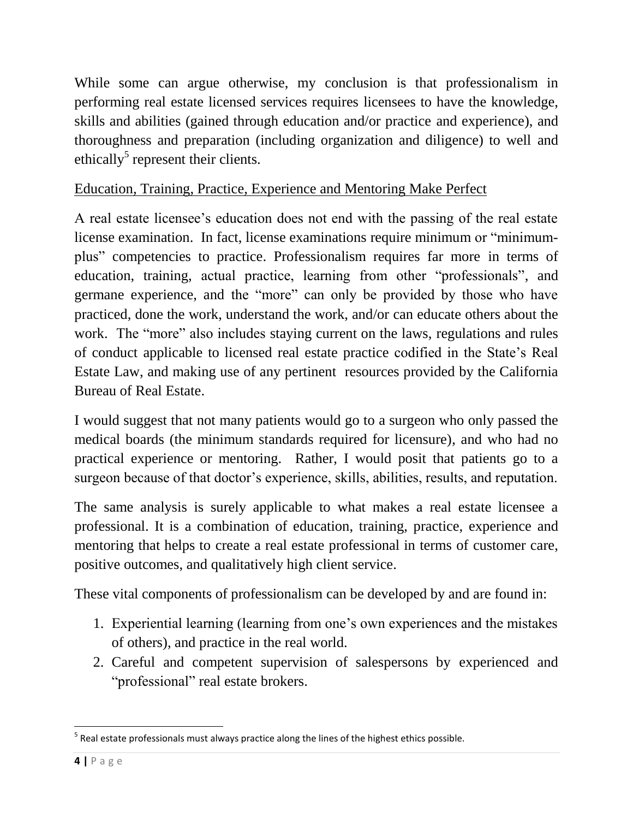While some can argue otherwise, my conclusion is that professionalism in performing real estate licensed services requires licensees to have the knowledge, skills and abilities (gained through education and/or practice and experience), and thoroughness and preparation (including organization and diligence) to well and ethically<sup>5</sup> represent their clients.

## Education, Training, Practice, Experience and Mentoring Make Perfect

A real estate licensee's education does not end with the passing of the real estate license examination. In fact, license examinations require minimum or "minimumplus" competencies to practice. Professionalism requires far more in terms of education, training, actual practice, learning from other "professionals", and germane experience, and the "more" can only be provided by those who have practiced, done the work, understand the work, and/or can educate others about the work. The "more" also includes staying current on the laws, regulations and rules of conduct applicable to licensed real estate practice codified in the State's Real Estate Law, and making use of any pertinent resources provided by the California Bureau of Real Estate.

I would suggest that not many patients would go to a surgeon who only passed the medical boards (the minimum standards required for licensure), and who had no practical experience or mentoring. Rather, I would posit that patients go to a surgeon because of that doctor's experience, skills, abilities, results, and reputation.

The same analysis is surely applicable to what makes a real estate licensee a professional. It is a combination of education, training, practice, experience and mentoring that helps to create a real estate professional in terms of customer care, positive outcomes, and qualitatively high client service.

These vital components of professionalism can be developed by and are found in:

- 1. Experiential learning (learning from one's own experiences and the mistakes of others), and practice in the real world.
- 2. Careful and competent supervision of salespersons by experienced and "professional" real estate brokers.

 $\overline{\phantom{a}}$  $<sup>5</sup>$  Real estate professionals must always practice along the lines of the highest ethics possible.</sup>